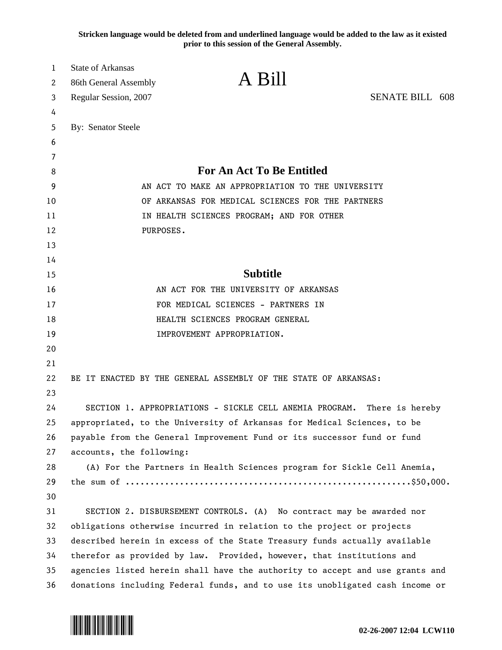**Stricken language would be deleted from and underlined language would be added to the law as it existed prior to this session of the General Assembly.**

| 1  | <b>State of Arkansas</b>                                                |                                                                              |                        |  |
|----|-------------------------------------------------------------------------|------------------------------------------------------------------------------|------------------------|--|
| 2  | 86th General Assembly                                                   | A Bill                                                                       |                        |  |
| 3  | Regular Session, 2007                                                   |                                                                              | <b>SENATE BILL 608</b> |  |
| 4  |                                                                         |                                                                              |                        |  |
| 5  | By: Senator Steele                                                      |                                                                              |                        |  |
| 6  |                                                                         |                                                                              |                        |  |
| 7  |                                                                         |                                                                              |                        |  |
| 8  |                                                                         | <b>For An Act To Be Entitled</b>                                             |                        |  |
| 9  |                                                                         | AN ACT TO MAKE AN APPROPRIATION TO THE UNIVERSITY                            |                        |  |
| 10 | OF ARKANSAS FOR MEDICAL SCIENCES FOR THE PARTNERS                       |                                                                              |                        |  |
| 11 |                                                                         | IN HEALTH SCIENCES PROGRAM; AND FOR OTHER                                    |                        |  |
| 12 | PURPOSES.                                                               |                                                                              |                        |  |
| 13 |                                                                         |                                                                              |                        |  |
| 14 |                                                                         |                                                                              |                        |  |
| 15 |                                                                         | <b>Subtitle</b>                                                              |                        |  |
| 16 |                                                                         | AN ACT FOR THE UNIVERSITY OF ARKANSAS                                        |                        |  |
| 17 |                                                                         | FOR MEDICAL SCIENCES - PARTNERS IN                                           |                        |  |
| 18 |                                                                         | HEALTH SCIENCES PROGRAM GENERAL                                              |                        |  |
| 19 |                                                                         | IMPROVEMENT APPROPRIATION.                                                   |                        |  |
| 20 |                                                                         |                                                                              |                        |  |
| 21 |                                                                         |                                                                              |                        |  |
| 22 |                                                                         | BE IT ENACTED BY THE GENERAL ASSEMBLY OF THE STATE OF ARKANSAS:              |                        |  |
| 23 |                                                                         |                                                                              |                        |  |
| 24 |                                                                         | SECTION 1. APPROPRIATIONS - SICKLE CELL ANEMIA PROGRAM. There is hereby      |                        |  |
| 25 |                                                                         | appropriated, to the University of Arkansas for Medical Sciences, to be      |                        |  |
| 26 | payable from the General Improvement Fund or its successor fund or fund |                                                                              |                        |  |
| 27 | accounts, the following:                                                |                                                                              |                        |  |
| 28 |                                                                         | (A) For the Partners in Health Sciences program for Sickle Cell Anemia,      |                        |  |
| 29 |                                                                         |                                                                              |                        |  |
| 30 |                                                                         |                                                                              |                        |  |
| 31 |                                                                         | SECTION 2. DISBURSEMENT CONTROLS. (A) No contract may be awarded nor         |                        |  |
| 32 |                                                                         | obligations otherwise incurred in relation to the project or projects        |                        |  |
| 33 |                                                                         | described herein in excess of the State Treasury funds actually available    |                        |  |
| 34 |                                                                         | therefor as provided by law. Provided, however, that institutions and        |                        |  |
| 35 |                                                                         | agencies listed herein shall have the authority to accept and use grants and |                        |  |
| 36 |                                                                         | donations including Federal funds, and to use its unobligated cash income or |                        |  |